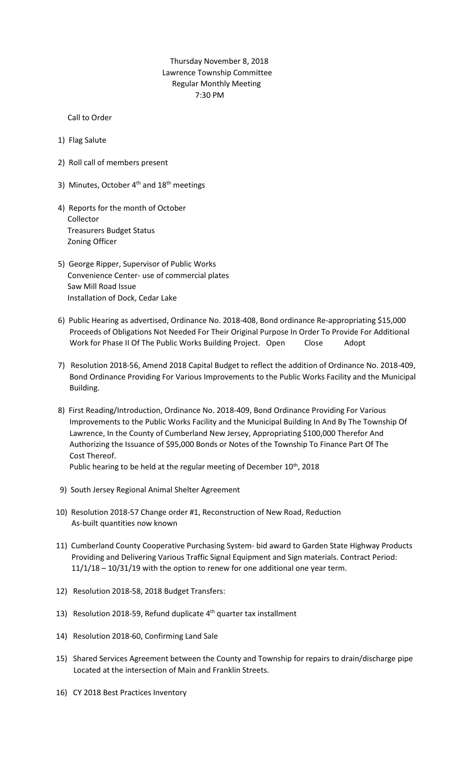## Thursday November 8, 2018 Lawrence Township Committee Regular Monthly Meeting 7:30 PM

Call to Order

- 1) Flag Salute
- 2) Roll call of members present
- 3) Minutes, October  $4<sup>th</sup>$  and  $18<sup>th</sup>$  meetings
- 4) Reports for the month of October Collector Treasurers Budget Status Zoning Officer
- 5) George Ripper, Supervisor of Public Works Convenience Center- use of commercial plates Saw Mill Road Issue Installation of Dock, Cedar Lake
- 6) Public Hearing as advertised, Ordinance No. 2018-408, Bond ordinance Re-appropriating \$15,000 Proceeds of Obligations Not Needed For Their Original Purpose In Order To Provide For Additional Work for Phase II Of The Public Works Building Project. Open Close Adopt
- 7) Resolution 2018-56, Amend 2018 Capital Budget to reflect the addition of Ordinance No. 2018-409, Bond Ordinance Providing For Various Improvements to the Public Works Facility and the Municipal Building.
- 8) First Reading/Introduction, Ordinance No. 2018-409, Bond Ordinance Providing For Various Improvements to the Public Works Facility and the Municipal Building In And By The Township Of Lawrence, In the County of Cumberland New Jersey, Appropriating \$100,000 Therefor And Authorizing the Issuance of \$95,000 Bonds or Notes of the Township To Finance Part Of The Cost Thereof.

Public hearing to be held at the regular meeting of December 10<sup>th</sup>, 2018

- 9) South Jersey Regional Animal Shelter Agreement
- 10) Resolution 2018-57 Change order #1, Reconstruction of New Road, Reduction As-built quantities now known
- 11) Cumberland County Cooperative Purchasing System- bid award to Garden State Highway Products Providing and Delivering Various Traffic Signal Equipment and Sign materials. Contract Period: 11/1/18 – 10/31/19 with the option to renew for one additional one year term.
- 12) Resolution 2018-58, 2018 Budget Transfers:
- 13) Resolution 2018-59, Refund duplicate 4<sup>th</sup> quarter tax installment
- 14) Resolution 2018-60, Confirming Land Sale
- 15) Shared Services Agreement between the County and Township for repairs to drain/discharge pipe Located at the intersection of Main and Franklin Streets.
- 16) CY 2018 Best Practices Inventory